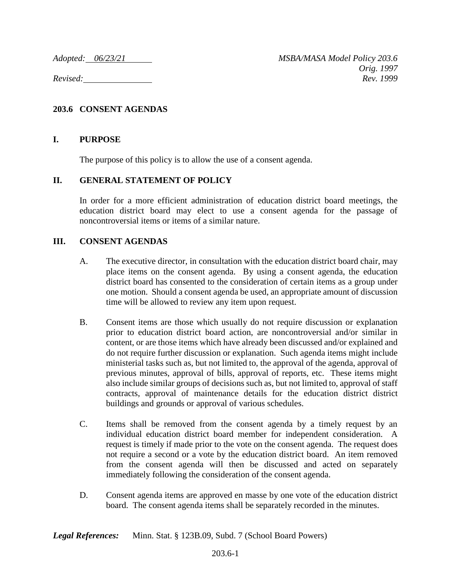*Adopted: 06/23/21 MSBA/MASA Model Policy 203.6 Orig. 1997 Revised: Rev. 1999*

## **203.6 CONSENT AGENDAS**

## **I. PURPOSE**

The purpose of this policy is to allow the use of a consent agenda.

## **II. GENERAL STATEMENT OF POLICY**

In order for a more efficient administration of education district board meetings, the education district board may elect to use a consent agenda for the passage of noncontroversial items or items of a similar nature.

## **III. CONSENT AGENDAS**

- A. The executive director, in consultation with the education district board chair, may place items on the consent agenda. By using a consent agenda, the education district board has consented to the consideration of certain items as a group under one motion. Should a consent agenda be used, an appropriate amount of discussion time will be allowed to review any item upon request.
- B. Consent items are those which usually do not require discussion or explanation prior to education district board action, are noncontroversial and/or similar in content, or are those items which have already been discussed and/or explained and do not require further discussion or explanation. Such agenda items might include ministerial tasks such as, but not limited to, the approval of the agenda, approval of previous minutes, approval of bills, approval of reports, etc. These items might also include similar groups of decisions such as, but not limited to, approval of staff contracts, approval of maintenance details for the education district district buildings and grounds or approval of various schedules.
- C. Items shall be removed from the consent agenda by a timely request by an individual education district board member for independent consideration. A request is timely if made prior to the vote on the consent agenda. The request does not require a second or a vote by the education district board. An item removed from the consent agenda will then be discussed and acted on separately immediately following the consideration of the consent agenda.
- D. Consent agenda items are approved en masse by one vote of the education district board. The consent agenda items shall be separately recorded in the minutes.

*Legal References:* Minn. Stat. § 123B.09, Subd. 7 (School Board Powers)